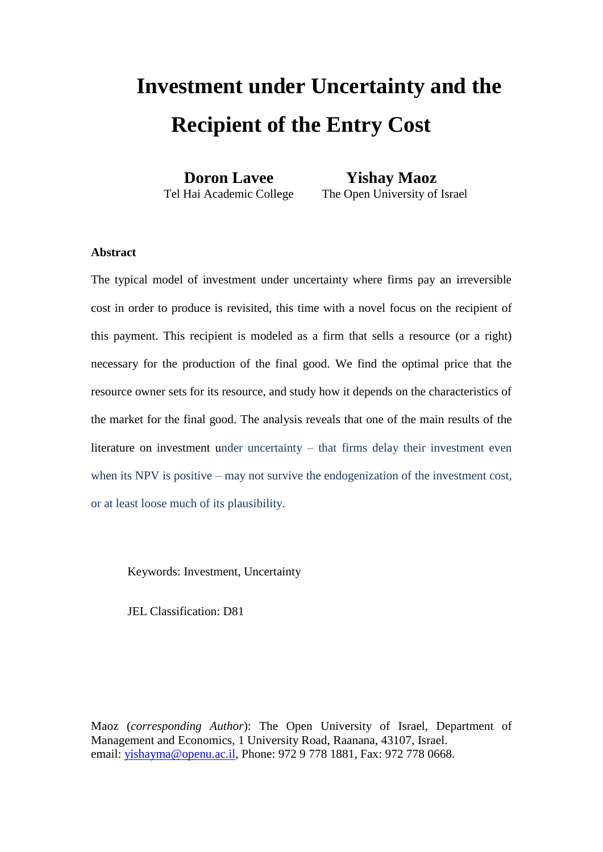# **Investment under Uncertainty and the Recipient of the Entry Cost**

 **Doron Lavee Yishay Maoz**  Tel Hai Academic College The Open University of Israel

## **Abstract**

The typical model of investment under uncertainty where firms pay an irreversible cost in order to produce is revisited, this time with a novel focus on the recipient of this payment. This recipient is modeled as a firm that sells a resource (or a right) necessary for the production of the final good. We find the optimal price that the resource owner sets for its resource, and study how it depends on the characteristics of the market for the final good. The analysis reveals that one of the main results of the literature on investment under uncertainty – that firms delay their investment even when its NPV is positive – may not survive the endogenization of the investment cost, or at least loose much of its plausibility.

Keywords: Investment, Uncertainty

JEL Classification: D81

Maoz (*corresponding Author*): The Open University of Israel, Department of Management and Economics, 1 University Road, Raanana, 43107, Israel. email: [yishayma@openu.ac.il,](mailto:yishayma@openu.ac.il) Phone: 972 9 778 1881, Fax: 972 778 0668.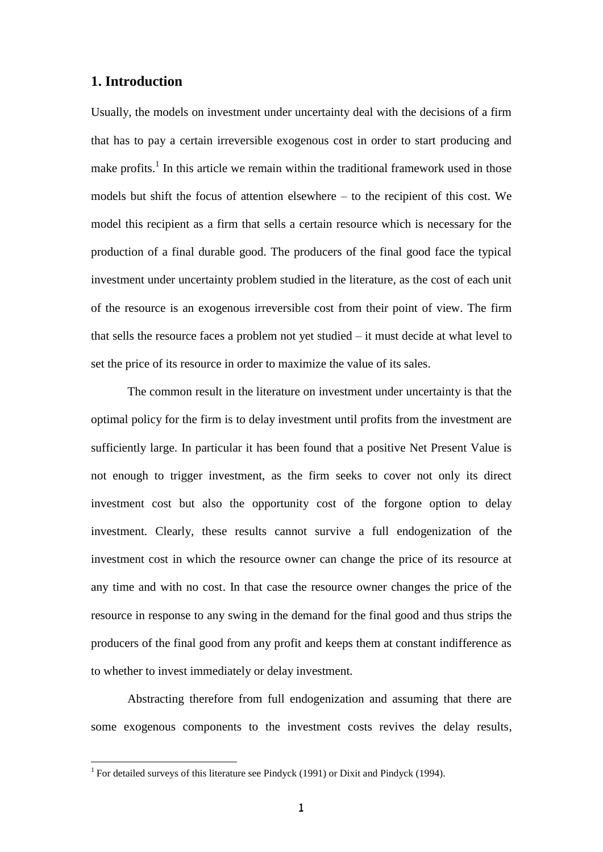## **1. Introduction**

Usually, the models on investment under uncertainty deal with the decisions of a firm that has to pay a certain irreversible exogenous cost in order to start producing and make profits.<sup>1</sup> In this article we remain within the traditional framework used in those models but shift the focus of attention elsewhere – to the recipient of this cost. We model this recipient as a firm that sells a certain resource which is necessary for the production of a final durable good. The producers of the final good face the typical investment under uncertainty problem studied in the literature, as the cost of each unit of the resource is an exogenous irreversible cost from their point of view. The firm that sells the resource faces a problem not yet studied – it must decide at what level to set the price of its resource in order to maximize the value of its sales.

The common result in the literature on investment under uncertainty is that the optimal policy for the firm is to delay investment until profits from the investment are sufficiently large. In particular it has been found that a positive Net Present Value is not enough to trigger investment, as the firm seeks to cover not only its direct investment cost but also the opportunity cost of the forgone option to delay investment. Clearly, these results cannot survive a full endogenization of the investment cost in which the resource owner can change the price of its resource at any time and with no cost. In that case the resource owner changes the price of the resource in response to any swing in the demand for the final good and thus strips the producers of the final good from any profit and keeps them at constant indifference as to whether to invest immediately or delay investment.

Abstracting therefore from full endogenization and assuming that there are some exogenous components to the investment costs revives the delay results,

<u>.</u>

<sup>&</sup>lt;sup>1</sup> For detailed surveys of this literature see Pindyck (1991) or Dixit and Pindyck (1994).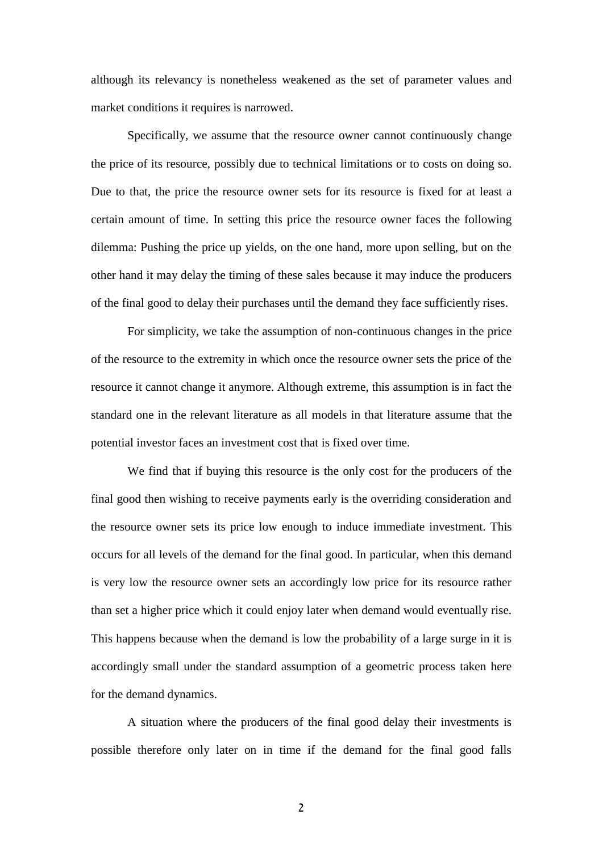although its relevancy is nonetheless weakened as the set of parameter values and market conditions it requires is narrowed.

Specifically, we assume that the resource owner cannot continuously change the price of its resource, possibly due to technical limitations or to costs on doing so. Due to that, the price the resource owner sets for its resource is fixed for at least a certain amount of time. In setting this price the resource owner faces the following dilemma: Pushing the price up yields, on the one hand, more upon selling, but on the other hand it may delay the timing of these sales because it may induce the producers of the final good to delay their purchases until the demand they face sufficiently rises.

For simplicity, we take the assumption of non-continuous changes in the price of the resource to the extremity in which once the resource owner sets the price of the resource it cannot change it anymore. Although extreme, this assumption is in fact the standard one in the relevant literature as all models in that literature assume that the potential investor faces an investment cost that is fixed over time.

We find that if buying this resource is the only cost for the producers of the final good then wishing to receive payments early is the overriding consideration and the resource owner sets its price low enough to induce immediate investment. This occurs for all levels of the demand for the final good. In particular, when this demand is very low the resource owner sets an accordingly low price for its resource rather than set a higher price which it could enjoy later when demand would eventually rise. This happens because when the demand is low the probability of a large surge in it is accordingly small under the standard assumption of a geometric process taken here for the demand dynamics.

A situation where the producers of the final good delay their investments is possible therefore only later on in time if the demand for the final good falls

2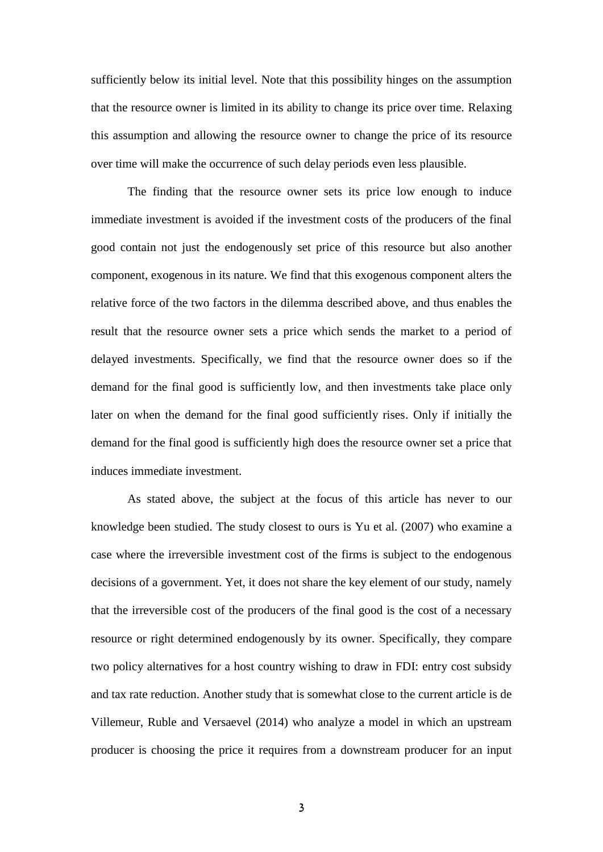sufficiently below its initial level. Note that this possibility hinges on the assumption that the resource owner is limited in its ability to change its price over time. Relaxing this assumption and allowing the resource owner to change the price of its resource over time will make the occurrence of such delay periods even less plausible.

The finding that the resource owner sets its price low enough to induce immediate investment is avoided if the investment costs of the producers of the final good contain not just the endogenously set price of this resource but also another component, exogenous in its nature. We find that this exogenous component alters the relative force of the two factors in the dilemma described above, and thus enables the result that the resource owner sets a price which sends the market to a period of delayed investments. Specifically, we find that the resource owner does so if the demand for the final good is sufficiently low, and then investments take place only later on when the demand for the final good sufficiently rises. Only if initially the demand for the final good is sufficiently high does the resource owner set a price that induces immediate investment.

As stated above, the subject at the focus of this article has never to our knowledge been studied. The study closest to ours is Yu et al. (2007) who examine a case where the irreversible investment cost of the firms is subject to the endogenous decisions of a government. Yet, it does not share the key element of our study, namely that the irreversible cost of the producers of the final good is the cost of a necessary resource or right determined endogenously by its owner. Specifically, they compare two policy alternatives for a host country wishing to draw in FDI: entry cost subsidy and tax rate reduction. Another study that is somewhat close to the current article is de Villemeur, Ruble and Versaevel (2014) who analyze a model in which an upstream producer is choosing the price it requires from a downstream producer for an input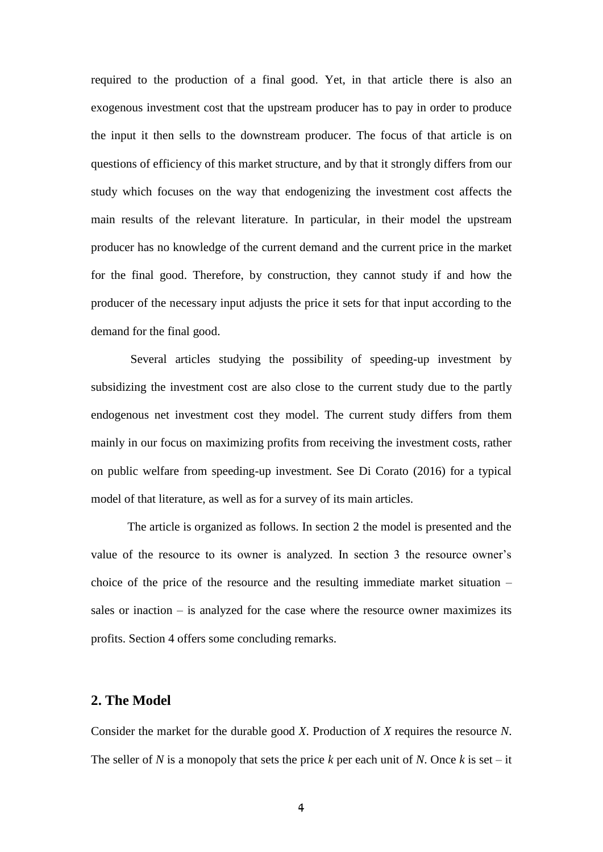required to the production of a final good. Yet, in that article there is also an exogenous investment cost that the upstream producer has to pay in order to produce the input it then sells to the downstream producer. The focus of that article is on questions of efficiency of this market structure, and by that it strongly differs from our study which focuses on the way that endogenizing the investment cost affects the main results of the relevant literature. In particular, in their model the upstream producer has no knowledge of the current demand and the current price in the market for the final good. Therefore, by construction, they cannot study if and how the producer of the necessary input adjusts the price it sets for that input according to the demand for the final good.

Several articles studying the possibility of speeding-up investment by subsidizing the investment cost are also close to the current study due to the partly endogenous net investment cost they model. The current study differs from them mainly in our focus on maximizing profits from receiving the investment costs, rather on public welfare from speeding-up investment. See Di Corato (2016) for a typical model of that literature, as well as for a survey of its main articles.

The article is organized as follows. In section 2 the model is presented and the value of the resource to its owner is analyzed. In section 3 the resource owner's choice of the price of the resource and the resulting immediate market situation – sales or inaction – is analyzed for the case where the resource owner maximizes its profits. Section 4 offers some concluding remarks.

## **2. The Model**

Consider the market for the durable good *X*. Production of *X* requires the resource *N*. The seller of *N* is a monopoly that sets the price *k* per each unit of *N*. Once *k* is set – it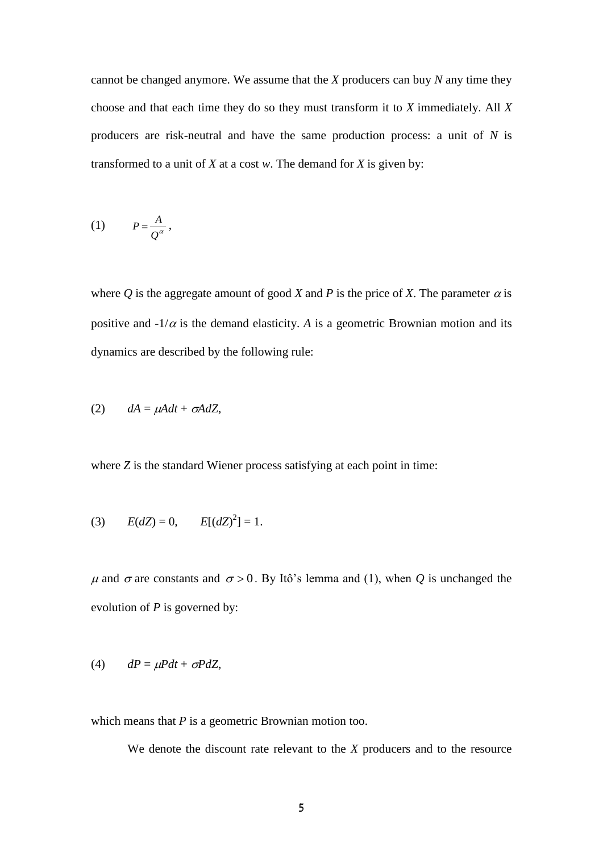cannot be changed anymore. We assume that the *X* producers can buy *N* any time they choose and that each time they do so they must transform it to *X* immediately. All *X*  producers are risk-neutral and have the same production process: a unit of *N* is transformed to a unit of *X* at a cost *w*. The demand for *X* is given by:

$$
(1) \tP = \frac{A}{Q^{\alpha}},
$$

where Q is the aggregate amount of good X and P is the price of X. The parameter  $\alpha$  is positive and  $-1/\alpha$  is the demand elasticity. *A* is a geometric Brownian motion and its dynamics are described by the following rule:

$$
(2) \qquad dA = \mu A dt + \sigma A dZ,
$$

where *Z* is the standard Wiener process satisfying at each point in time:

(3) 
$$
E(dZ) = 0
$$
,  $E[(dZ)^2] = 1$ .

 $\mu$  and  $\sigma$  are constants and  $\sigma > 0$ . By Itô's lemma and (1), when *Q* is unchanged the evolution of *P* is governed by:

$$
(4) \qquad dP = \mu P dt + \sigma P dZ,
$$

which means that *P* is a geometric Brownian motion too.

We denote the discount rate relevant to the *X* producers and to the resource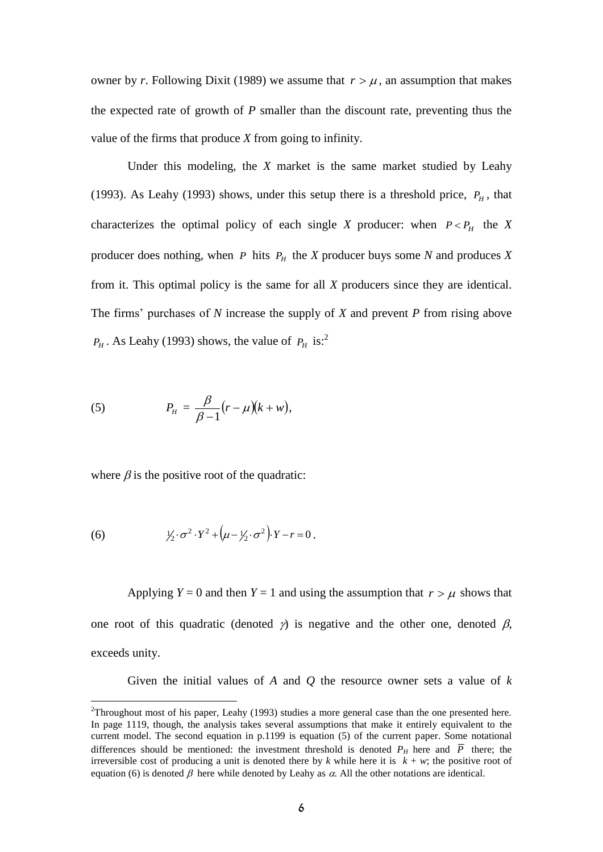owner by *r*. Following Dixit (1989) we assume that  $r > \mu$ , an assumption that makes the expected rate of growth of *P* smaller than the discount rate, preventing thus the value of the firms that produce *X* from going to infinity.

Under this modeling, the *X* market is the same market studied by Leahy (1993). As Leahy (1993) shows, under this setup there is a threshold price,  $P_H$ , that characterizes the optimal policy of each single *X* producer: when  $P < P_H$  the *X* producer does nothing, when  $P$  hits  $P$ <sup>*H*</sup> the *X* producer buys some *N* and produces *X* from it. This optimal policy is the same for all *X* producers since they are identical. The firms' purchases of *N* increase the supply of *X* and prevent *P* from rising above  $P_H$ . As Leahy (1993) shows, the value of  $P_H$  is:<sup>2</sup>

(5) 
$$
P_H = \frac{\beta}{\beta - 1} (r - \mu)(k + w),
$$

where  $\beta$  is the positive root of the quadratic:

(6) 
$$
\frac{1}{2} \cdot \sigma^2 \cdot Y^2 + \left(\mu - \frac{1}{2} \cdot \sigma^2\right) \cdot Y - r = 0.
$$

1

Applying  $Y = 0$  and then  $Y = 1$  and using the assumption that  $r > \mu$  shows that one root of this quadratic (denoted  $\gamma$ ) is negative and the other one, denoted  $\beta$ , exceeds unity.

Given the initial values of *A* and *Q* the resource owner sets a value of *k*

<sup>&</sup>lt;sup>2</sup>Throughout most of his paper, Leahy (1993) studies a more general case than the one presented here. In page 1119, though, the analysis takes several assumptions that make it entirely equivalent to the current model. The second equation in p.1199 is equation (5) of the current paper. Some notational differences should be mentioned: the investment threshold is denoted  $P_H$  here and  $\overline{P}$  there; the irreversible cost of producing a unit is denoted there by *k* while here it is  $k + w$ ; the positive root of equation (6) is denoted  $\beta$  here while denoted by Leahy as  $\alpha$ . All the other notations are identical.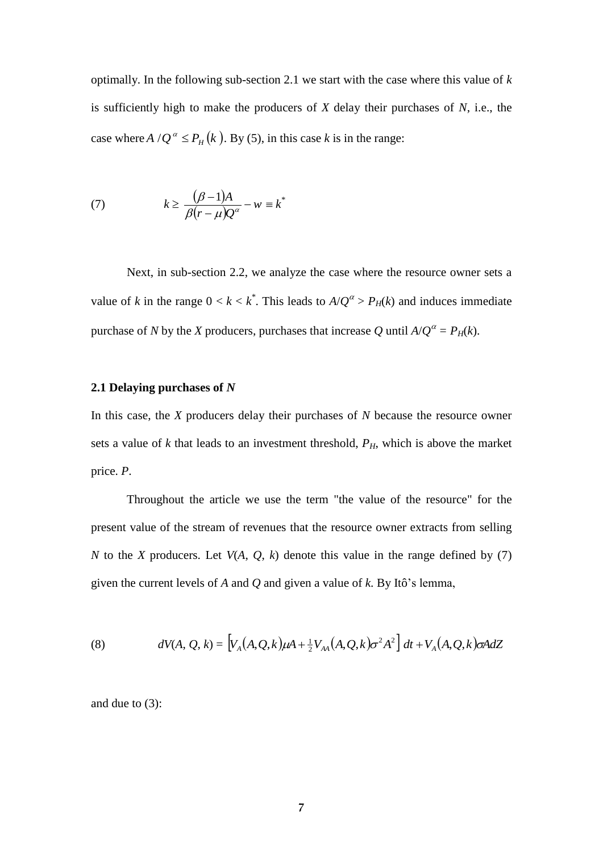optimally. In the following sub-section 2.1 we start with the case where this value of *k* is sufficiently high to make the producers of *X* delay their purchases of *N*, i.e., the case where  $A/Q^{\alpha} \le P_H(k)$ . By (5), in this case *k* is in the range:

(7) 
$$
k \geq \frac{(\beta - 1)A}{\beta(r - \mu)Q^{\alpha}} - w \equiv k^*
$$

Next, in sub-section 2.2, we analyze the case where the resource owner sets a value of *k* in the range  $0 < k < k^*$ . This leads to  $A/Q^{\alpha} > P_H(k)$  and induces immediate purchase of *N* by the *X* producers, purchases that increase *Q* until  $A/Q^{\alpha} = P_H(k)$ .

## **2.1 Delaying purchases of** *N*

In this case, the *X* producers delay their purchases of *N* because the resource owner sets a value of *k* that leads to an investment threshold, *PH*, which is above the market price. *P*.

Throughout the article we use the term "the value of the resource" for the present value of the stream of revenues that the resource owner extracts from selling *N* to the *X* producers. Let  $V(A, Q, k)$  denote this value in the range defined by (7) given the current levels of *A* and *Q* and given a value of *k*. By Itô's lemma,

(8) 
$$
dV(A, Q, k) = \left[ V_A(A, Q, k) \mu A + \frac{1}{2} V_{AA}(A, Q, k) \sigma^2 A^2 \right] dt + V_A(A, Q, k) \sigma A dZ
$$

and due to (3):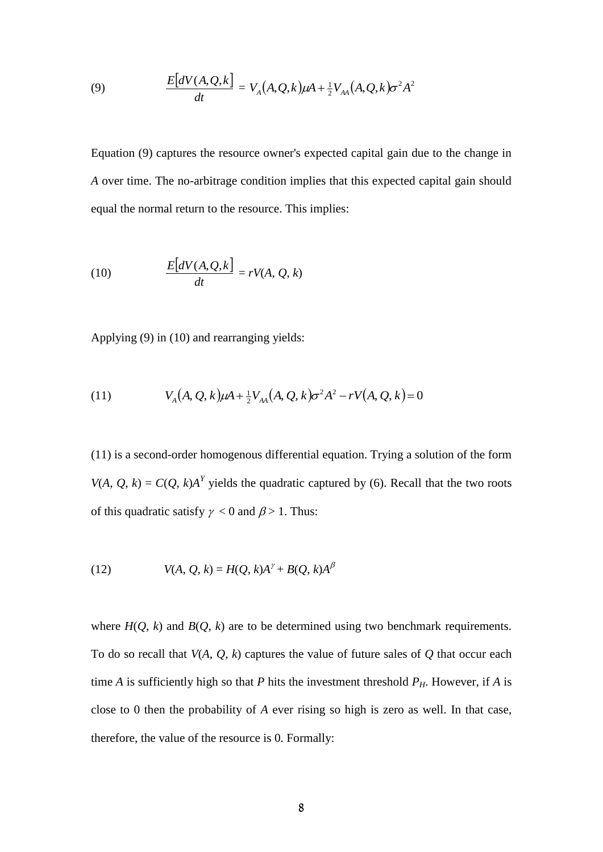(9) 
$$
\frac{E[dV(A, Q, k)]}{dt} = V_A(A, Q, k)\mu A + \frac{1}{2}V_{AA}(A, Q, k)\sigma^2 A^2
$$

Equation (9) captures the resource owner's expected capital gain due to the change in *A* over time. The no-arbitrage condition implies that this expected capital gain should equal the normal return to the resource. This implies:

(10) 
$$
\frac{E[dV(A,Q,k]}{dt} = rV(A,Q,k)
$$

Applying (9) in (10) and rearranging yields:

(11) 
$$
V_A(A, Q, k)\mu A + \frac{1}{2}V_{AA}(A, Q, k)\sigma^2 A^2 - rV(A, Q, k) = 0
$$

(11) is a second-order homogenous differential equation. Trying a solution of the form *V*(*A*, *Q*, *k*) = *C*(*Q*, *k*)*A*<sup>*Y*</sup> yields the quadratic captured by (6). Recall that the two roots of this quadratic satisfy  $\gamma < 0$  and  $\beta > 1$ . Thus:

(12) 
$$
V(A, Q, k) = H(Q, k)A^{\gamma} + B(Q, k)A^{\beta}
$$

where  $H(Q, k)$  and  $B(Q, k)$  are to be determined using two benchmark requirements. To do so recall that *V*(*A*, *Q*, *k*) captures the value of future sales of *Q* that occur each time *A* is sufficiently high so that *P* hits the investment threshold  $P<sub>H</sub>$ . However, if *A* is close to 0 then the probability of *A* ever rising so high is zero as well. In that case, therefore, the value of the resource is 0. Formally: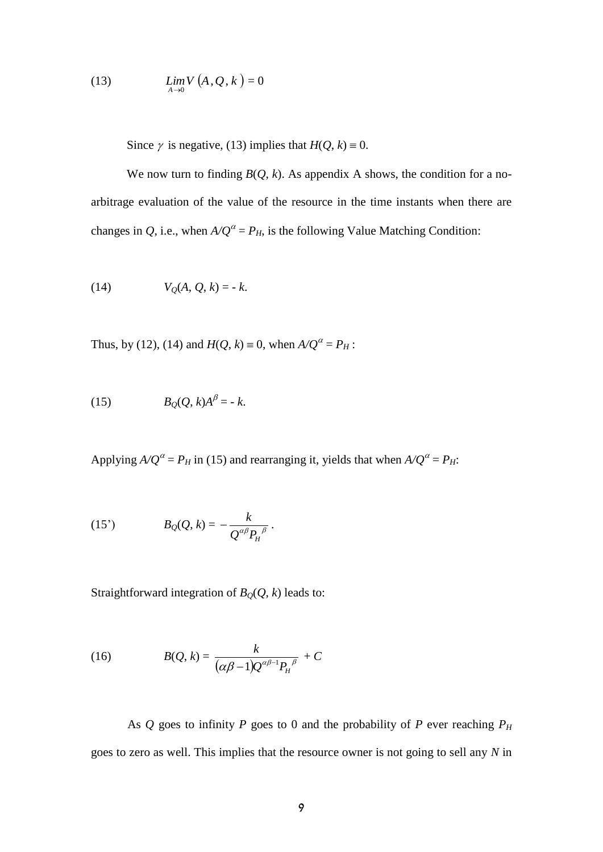$$
(13) \qquad \qquad \lim_{A \to 0} V\left(A, Q, k\right) = 0
$$

Since  $\gamma$  is negative, (13) implies that  $H(Q, k) = 0$ .

We now turn to finding  $B(Q, k)$ . As appendix A shows, the condition for a noarbitrage evaluation of the value of the resource in the time instants when there are changes in *Q*, i.e., when  $A/Q^{\alpha} = P_H$ , is the following Value Matching Condition:

(14) 
$$
V_Q(A, Q, k) = -k
$$
.

Thus, by (12), (14) and  $H(Q, k) \equiv 0$ , when  $A/Q^{\alpha} = P_H$ :

$$
(15) \t B_Q(Q,k)A^{\beta} = -k.
$$

Applying  $A/Q^{\alpha} = P_H$  in (15) and rearranging it, yields that when  $A/Q^{\alpha} = P_H$ :

(15') 
$$
B_Q(Q, k) = -\frac{k}{Q^{\alpha\beta}P_H^{\beta}}.
$$

Straightforward integration of  $B<sub>Q</sub>(Q, k)$  leads to:

(16) 
$$
B(Q,k) = \frac{k}{(\alpha\beta - 1)Q^{\alpha\beta - 1}P_H^{\beta}} + C
$$

As *Q* goes to infinity *P* goes to 0 and the probability of *P* ever reaching  $P_H$ goes to zero as well. This implies that the resource owner is not going to sell any *N* in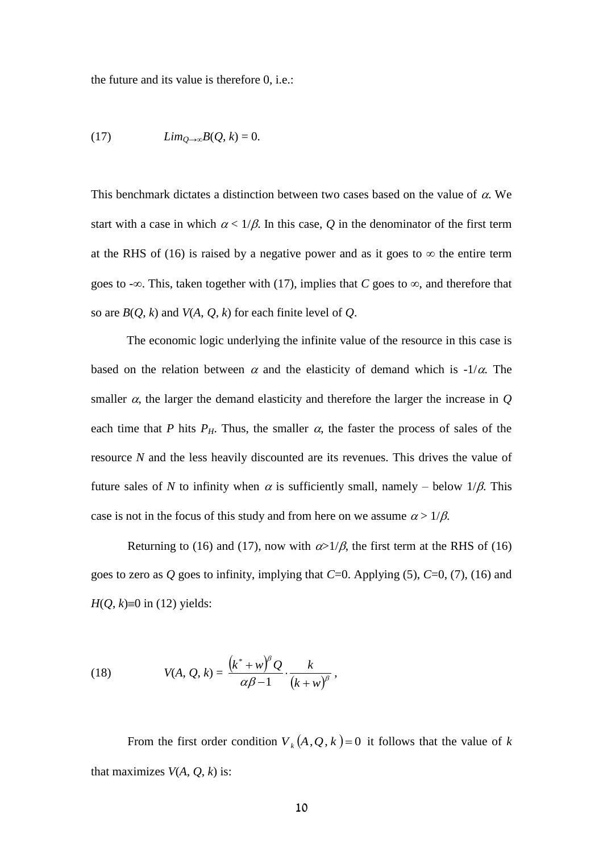the future and its value is therefore 0, i.e.:

(17) 
$$
Lim_{Q\rightarrow\infty}B(Q,k)=0.
$$

This benchmark dictates a distinction between two cases based on the value of  $\alpha$ . We start with a case in which  $\alpha < 1/\beta$ . In this case, Q in the denominator of the first term at the RHS of (16) is raised by a negative power and as it goes to  $\infty$  the entire term goes to  $-\infty$ . This, taken together with (17), implies that *C* goes to  $\infty$ , and therefore that so are  $B(Q, k)$  and  $V(A, Q, k)$  for each finite level of  $Q$ .

The economic logic underlying the infinite value of the resource in this case is based on the relation between  $\alpha$  and the elasticity of demand which is -1/ $\alpha$ . The smaller  $\alpha$ , the larger the demand elasticity and therefore the larger the increase in  $\mathcal Q$ each time that *P* hits  $P_H$ . Thus, the smaller  $\alpha$ , the faster the process of sales of the resource *N* and the less heavily discounted are its revenues. This drives the value of future sales of *N* to infinity when  $\alpha$  is sufficiently small, namely – below  $1/\beta$ . This case is not in the focus of this study and from here on we assume  $\alpha > 1/\beta$ .

Returning to (16) and (17), now with  $\alpha > 1/\beta$ , the first term at the RHS of (16) goes to zero as  $Q$  goes to infinity, implying that  $C=0$ . Applying (5),  $C=0$ , (7), (16) and  $H(Q, k) \equiv 0$  in (12) yields:

(18) 
$$
V(A, Q, k) = \frac{(k^* + w)^{\beta} Q}{\alpha \beta - 1} \cdot \frac{k}{(k + w)^{\beta}},
$$

From the first order condition  $V_k(A, Q, k) = 0$  it follows that the value of *k* that maximizes  $V(A, Q, k)$  is: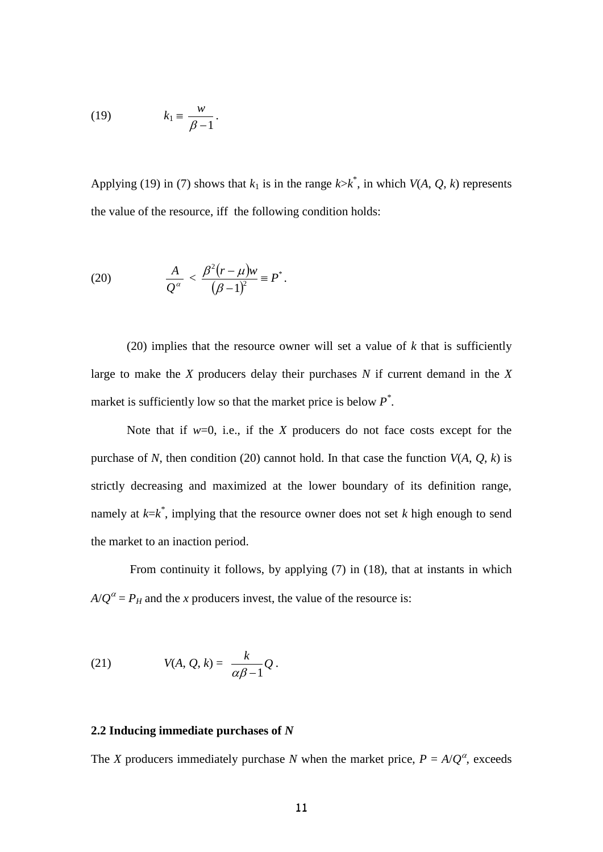$$
(19) \t k_1 \equiv \frac{w}{\beta - 1}.
$$

Applying (19) in (7) shows that  $k_1$  is in the range  $k > k^*$ , in which  $V(A, Q, k)$  represents the value of the resource, iff the following condition holds:

(20) 
$$
\frac{A}{Q^{\alpha}} < \frac{\beta^2 (r - \mu) w}{(\beta - 1)^2} \equiv P^*.
$$

(20) implies that the resource owner will set a value of  $k$  that is sufficiently large to make the *X* producers delay their purchases *N* if current demand in the *X* market is sufficiently low so that the market price is below *P \** .

Note that if *w*=0, i.e., if the *X* producers do not face costs except for the purchase of *N*, then condition (20) cannot hold. In that case the function  $V(A, Q, k)$  is strictly decreasing and maximized at the lower boundary of its definition range, namely at *k*=*k \** , implying that the resource owner does not set *k* high enough to send the market to an inaction period.

From continuity it follows, by applying (7) in (18), that at instants in which  $A/Q^{\alpha} = P_H$  and the *x* producers invest, the value of the resource is:

(21) 
$$
V(A, Q, k) = \frac{k}{\alpha \beta - 1} Q.
$$

## **2.2 Inducing immediate purchases of** *N*

The *X* producers immediately purchase *N* when the market price,  $P = A/Q^{\alpha}$ , exceeds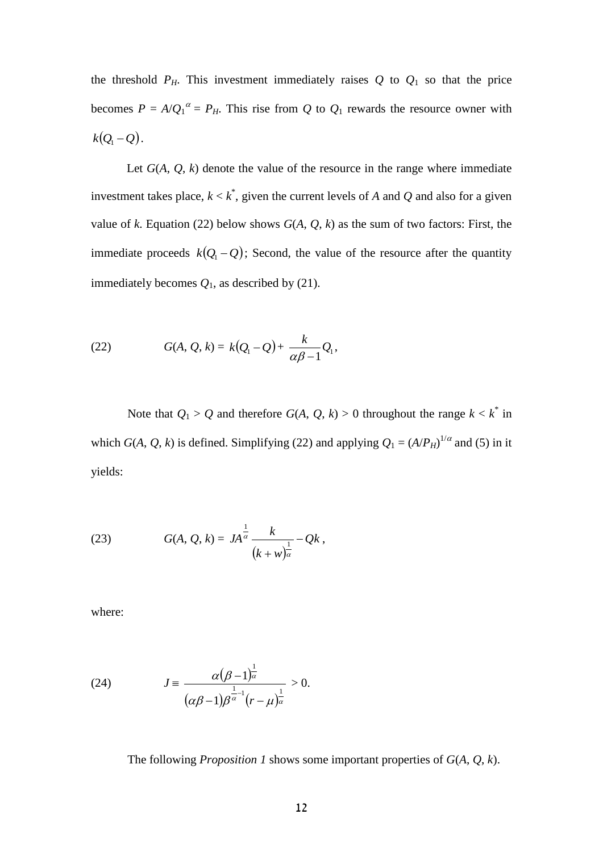the threshold  $P_H$ . This investment immediately raises  $Q$  to  $Q_1$  so that the price becomes  $P = A/Q_1^{\alpha} = P_H$ . This rise from Q to  $Q_1$  rewards the resource owner with  $k(Q_1 - Q)$ .

Let  $G(A, Q, k)$  denote the value of the resource in the range where immediate investment takes place,  $k < k^*$ , given the current levels of *A* and *Q* and also for a given value of *k*. Equation (22) below shows  $G(A, Q, k)$  as the sum of two factors: First, the immediate proceeds  $k(Q_1 - Q)$ ; Second, the value of the resource after the quantity immediately becomes  $Q_1$ , as described by (21).

(22) 
$$
G(A, Q, k) = k(Q_1 - Q) + \frac{k}{\alpha \beta - 1} Q_1,
$$

Note that  $Q_1 > Q$  and therefore  $G(A, Q, k) > 0$  throughout the range  $k < k^*$  in which *G*(*A*, *Q*, *k*) is defined. Simplifying (22) and applying  $Q_1 = (A/P_H)^{1/\alpha}$  and (5) in it yields:

(23) 
$$
G(A, Q, k) = JA^{\frac{1}{\alpha}} \frac{k}{(k+w)^{\frac{1}{\alpha}}} - Qk,
$$

where:

(24) 
$$
J = \frac{\alpha(\beta - 1)^{\frac{1}{\alpha}}}{(\alpha\beta - 1)\beta^{\frac{1}{\alpha} - 1}(r - \mu)^{\frac{1}{\alpha}}} > 0.
$$

The following *Proposition 1* shows some important properties of *G*(*A*, *Q*, *k*).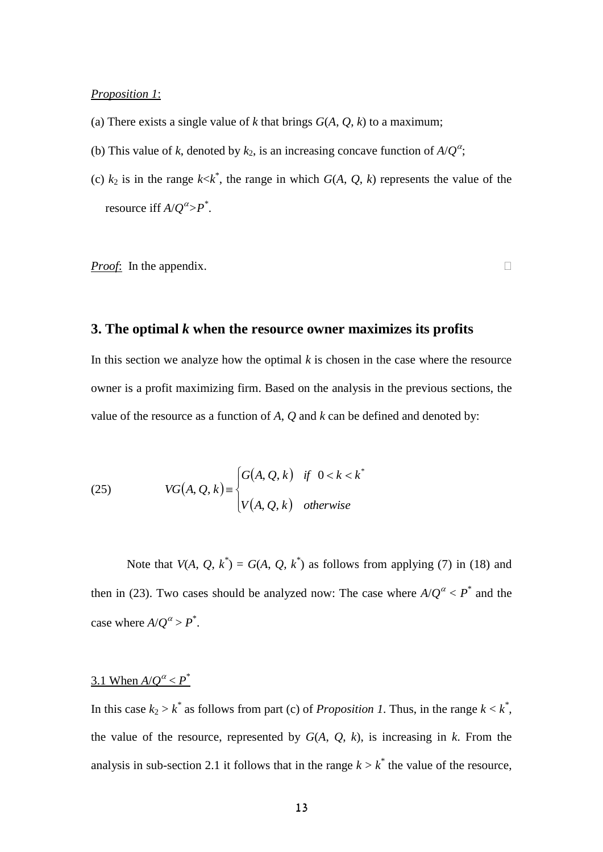#### *Proposition 1*:

- (a) There exists a single value of  $k$  that brings  $G(A, Q, k)$  to a maximum;
- (b) This value of *k*, denoted by  $k_2$ , is an increasing concave function of  $A/Q^{\alpha}$ ;
- (c)  $k_2$  is in the range  $k < k^*$ , the range in which  $G(A, Q, k)$  represents the value of the resource iff  $A/Q^{\alpha} > P^*$ .

*Proof*: In the appendix. □

## **3. The optimal** *k* **when the resource owner maximizes its profits**

In this section we analyze how the optimal  $k$  is chosen in the case where the resource owner is a profit maximizing firm. Based on the analysis in the previous sections, the value of the resource as a function of *A*, *Q* and *k* can be defined and denoted by:

(25) 
$$
VG(A, Q, k) = \begin{cases} G(A, Q, k) & \text{if } 0 < k < k^* \\ V(A, Q, k) & \text{otherwise} \end{cases}
$$

Note that  $V(A, Q, k^*) = G(A, Q, k^*)$  as follows from applying (7) in (18) and then in (23). Two cases should be analyzed now: The case where  $A/Q^{\alpha} < P^*$  and the case where  $A/Q^{\alpha} > P^*$ .

## 3.1 When  $A/Q^{\alpha} < P^*$

In this case  $k_2 > k^*$  as follows from part (c) of *Proposition 1*. Thus, in the range  $k < k^*$ , the value of the resource, represented by  $G(A, Q, k)$ , is increasing in  $k$ . From the analysis in sub-section 2.1 it follows that in the range  $k > k^*$  the value of the resource,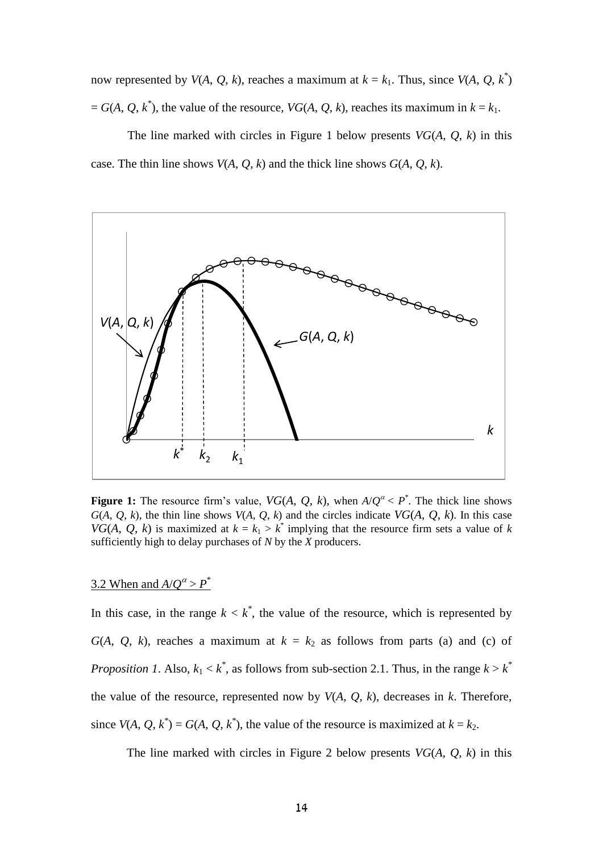now represented by  $V(A, Q, k)$ , reaches a maximum at  $k = k_1$ . Thus, since  $V(A, Q, k^*)$  $A = G(A, Q, k^*)$ , the value of the resource, *VG*(*A*, *Q*, *k*), reaches its maximum in  $k = k_1$ .

The line marked with circles in Figure 1 below presents *VG*(*A*, *Q*, *k*) in this case. The thin line shows  $V(A, Q, k)$  and the thick line shows  $G(A, Q, k)$ .



**Figure 1:** The resource firm's value,  $VG(A, Q, k)$ , when  $A/Q^{\alpha} < P^*$ . The thick line shows  $G(A, Q, k)$ , the thin line shows  $V(A, Q, k)$  and the circles indicate  $VG(A, Q, k)$ . In this case *VG*(*A*, *Q*, *k*) is maximized at  $k = k_1 > k^*$  implying that the resource firm sets a value of *k* sufficiently high to delay purchases of *N* by the *X* producers.

## 3.2 When and  $A/Q^{\alpha} > P^*$

In this case, in the range  $k < k^*$ , the value of the resource, which is represented by *G*(*A*, *Q*, *k*), reaches a maximum at  $k = k_2$  as follows from parts (a) and (c) of *Proposition 1.* Also,  $k_1 < k^*$ , as follows from sub-section 2.1. Thus, in the range  $k > k^*$ the value of the resource, represented now by  $V(A, Q, k)$ , decreases in  $k$ . Therefore, since  $V(A, Q, k^*) = G(A, Q, k^*)$ , the value of the resource is maximized at  $k = k_2$ .

The line marked with circles in Figure 2 below presents *VG*(*A*, *Q*, *k*) in this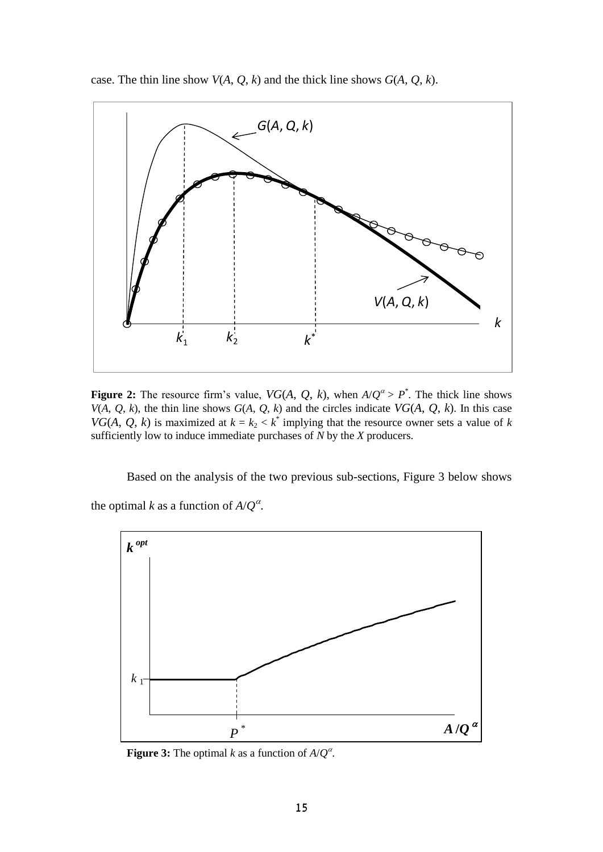case. The thin line show  $V(A, Q, k)$  and the thick line shows  $G(A, Q, k)$ .



**Figure 2:** The resource firm's value,  $VG(A, Q, k)$ , when  $A/Q^{\alpha} > P^*$ . The thick line shows *V*(*A*, *Q*, *k*), the thin line shows  $G(A, Q, k)$  and the circles indicate *VG*(*A*, *Q*, *k*). In this case *VG*(*A*, *Q*, *k*) is maximized at  $k = k_2 < k^*$  implying that the resource owner sets a value of *k* sufficiently low to induce immediate purchases of *N* by the *X* producers.

Based on the analysis of the two previous sub-sections, Figure 3 below shows the optimal *k* as a function of  $A/Q^{\alpha}$ .



**Figure 3:** The optimal *k* as a function of  $A/Q^{\alpha}$ .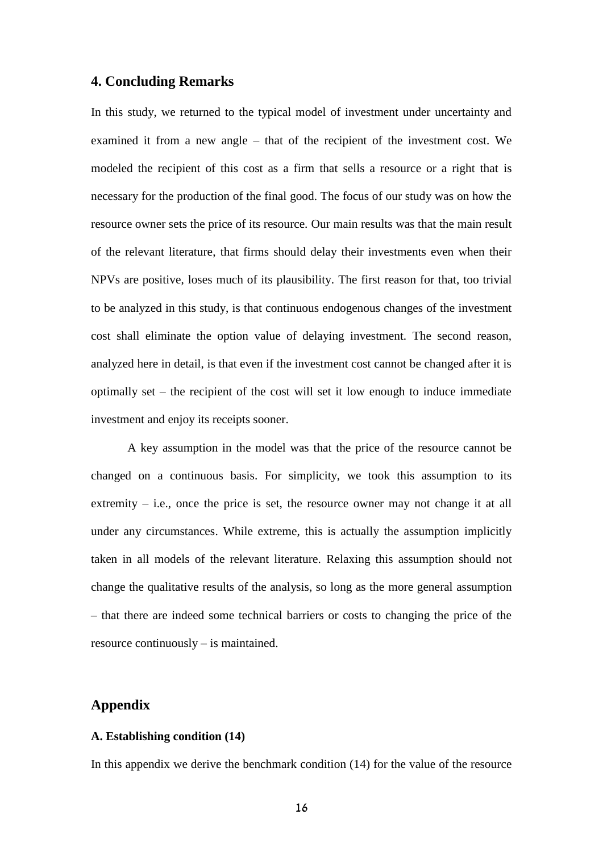## **4. Concluding Remarks**

In this study, we returned to the typical model of investment under uncertainty and examined it from a new angle – that of the recipient of the investment cost. We modeled the recipient of this cost as a firm that sells a resource or a right that is necessary for the production of the final good. The focus of our study was on how the resource owner sets the price of its resource. Our main results was that the main result of the relevant literature, that firms should delay their investments even when their NPVs are positive, loses much of its plausibility. The first reason for that, too trivial to be analyzed in this study, is that continuous endogenous changes of the investment cost shall eliminate the option value of delaying investment. The second reason, analyzed here in detail, is that even if the investment cost cannot be changed after it is optimally set – the recipient of the cost will set it low enough to induce immediate investment and enjoy its receipts sooner.

A key assumption in the model was that the price of the resource cannot be changed on a continuous basis. For simplicity, we took this assumption to its extremity  $-$  i.e., once the price is set, the resource owner may not change it at all under any circumstances. While extreme, this is actually the assumption implicitly taken in all models of the relevant literature. Relaxing this assumption should not change the qualitative results of the analysis, so long as the more general assumption – that there are indeed some technical barriers or costs to changing the price of the resource continuously – is maintained.

## **Appendix**

#### **A. Establishing condition (14)**

In this appendix we derive the benchmark condition (14) for the value of the resource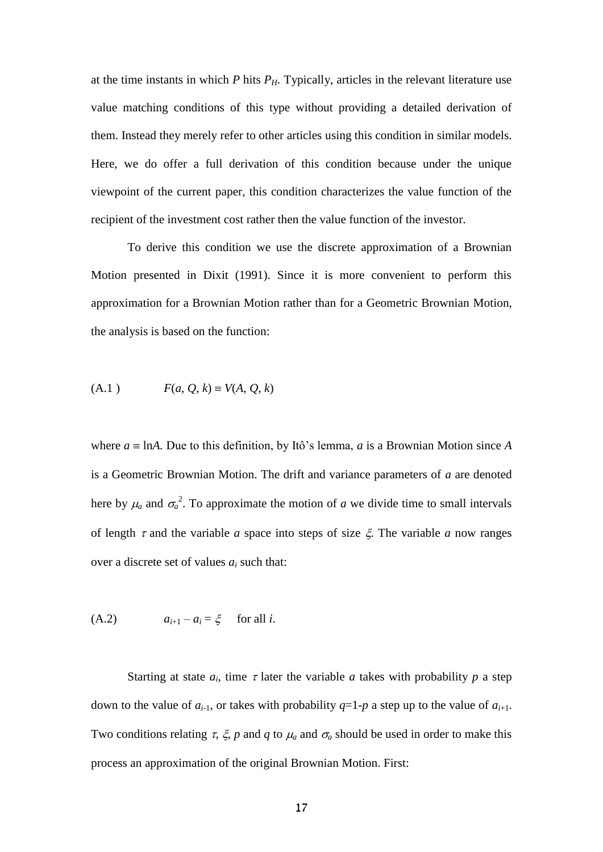at the time instants in which  $P$  hits  $P$ <sup> $H$ </sup>. Typically, articles in the relevant literature use value matching conditions of this type without providing a detailed derivation of them. Instead they merely refer to other articles using this condition in similar models. Here, we do offer a full derivation of this condition because under the unique viewpoint of the current paper, this condition characterizes the value function of the recipient of the investment cost rather then the value function of the investor.

To derive this condition we use the discrete approximation of a Brownian Motion presented in Dixit (1991). Since it is more convenient to perform this approximation for a Brownian Motion rather than for a Geometric Brownian Motion, the analysis is based on the function:

(A.1) 
$$
F(a, Q, k) \equiv V(A, Q, k)
$$

where  $a \equiv \text{ln}A$ . Due to this definition, by Itô's lemma, *a* is a Brownian Motion since *A* is a Geometric Brownian Motion. The drift and variance parameters of *a* are denoted here by  $\mu_a$  and  $\sigma_a^2$ . To approximate the motion of *a* we divide time to small intervals of length  $\tau$  and the variable *a* space into steps of size  $\xi$ . The variable *a* now ranges over a discrete set of values *a<sup>i</sup>* such that:

$$
(A.2) \t a_{i+1} - a_i = \xi \t for all i.
$$

Starting at state  $a_i$ , time  $\tau$  later the variable  $a$  takes with probability  $p$  a step down to the value of  $a_{i-1}$ , or takes with probability  $q=1-p$  a step up to the value of  $a_{i+1}$ . Two conditions relating  $\tau$ ,  $\xi$ ,  $p$  and  $q$  to  $\mu_a$  and  $\sigma_a$  should be used in order to make this process an approximation of the original Brownian Motion. First: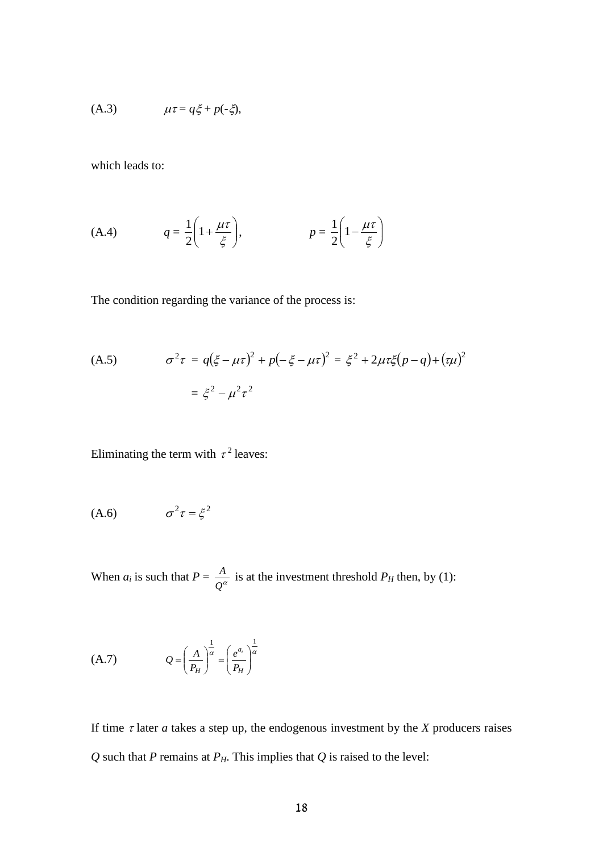$$
(A.3) \t \mu \tau = q\xi + p(-\xi),
$$

which leads to:

(A.4) 
$$
q = \frac{1}{2} \left( 1 + \frac{\mu \tau}{\xi} \right), \qquad p = \frac{1}{2} \left( 1 - \frac{\mu \tau}{\xi} \right)
$$

The condition regarding the variance of the process is:

(A.5) 
$$
\sigma^2 \tau = q(\xi - \mu \tau)^2 + p(-\xi - \mu \tau)^2 = \xi^2 + 2\mu \tau \xi (p - q) + (\tau \mu)^2
$$

$$
= \xi^2 - \mu^2 \tau^2
$$

Eliminating the term with  $\tau^2$  leaves:

$$
(A.6) \qquad \qquad \sigma^2 \tau = \xi^2
$$

When  $a_i$  is such that  $P = \frac{A}{Q^{\alpha}}$  $\frac{A}{2a}$  is at the investment threshold  $P_H$  then, by (1):

$$
(A.7) \tQ = \left(\frac{A}{P_H}\right)^{\frac{1}{\alpha}} = \left(\frac{e^{a_i}}{P_H}\right)^{\frac{1}{\alpha}}
$$

If time  $\tau$  later  $a$  takes a step up, the endogenous investment by the  $X$  producers raises *Q* such that *P* remains at *PH*. This implies that *Q* is raised to the level: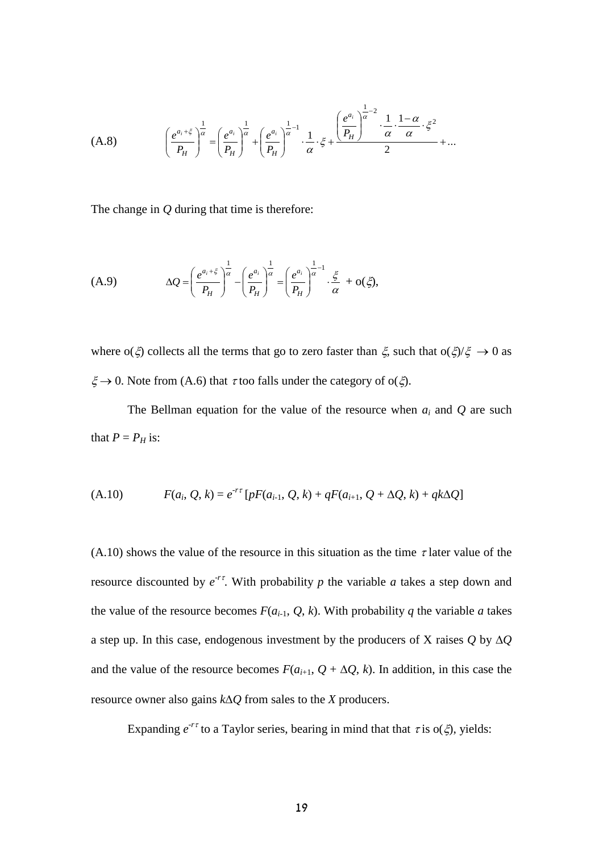$$
(A.8) \qquad \left(\frac{e^{a_i+\xi}}{P_H}\right)^{\frac{1}{\alpha}} = \left(\frac{e^{a_i}}{P_H}\right)^{\frac{1}{\alpha}} + \left(\frac{e^{a_i}}{P_H}\right)^{\frac{1}{\alpha}-1} \cdot \frac{1}{\alpha} \cdot \xi + \frac{\left(\frac{e^{a_i}}{P_H}\right)^{\frac{1}{\alpha}-2} \cdot \frac{1}{\alpha} \cdot \frac{1-\alpha}{\alpha} \cdot \xi^2}{2} + \dots
$$

The change in *Q* during that time is therefore:

(A.9) 
$$
\Delta Q = \left(\frac{e^{a_i+\xi}}{P_H}\right)^{\frac{1}{\alpha}} - \left(\frac{e^{a_i}}{P_H}\right)^{\frac{1}{\alpha}} = \left(\frac{e^{a_i}}{P_H}\right)^{\frac{1}{\alpha}-1} \cdot \frac{\xi}{\alpha} + o(\xi),
$$

where  $o(\xi)$  collects all the terms that go to zero faster than  $\xi$ , such that  $o(\xi)/\xi \to 0$  as  $\xi \rightarrow 0$ . Note from (A.6) that  $\tau$  too falls under the category of o( $\xi$ ).

The Bellman equation for the value of the resource when  $a_i$  and  $Q$  are such that  $P = P_H$  is:

(A.10) 
$$
F(a_i, Q, k) = e^{-r\tau} [pF(a_{i-1}, Q, k) + qF(a_{i+1}, Q + \Delta Q, k) + qk\Delta Q]
$$

(A.10) shows the value of the resource in this situation as the time  $\tau$  later value of the resource discounted by  $e^{rt}$ . With probability p the variable a takes a step down and the value of the resource becomes  $F(a_{i-1}, Q, k)$ . With probability *q* the variable *a* takes a step up. In this case, endogenous investment by the producers of X raises  $Q$  by  $\Delta Q$ and the value of the resource becomes  $F(a_{i+1}, Q + \Delta Q, k)$ . In addition, in this case the resource owner also gains *kQ* from sales to the *X* producers.

Expanding  $e^{-r\tau}$  to a Taylor series, bearing in mind that that  $\tau$  is  $o(\xi)$ , yields: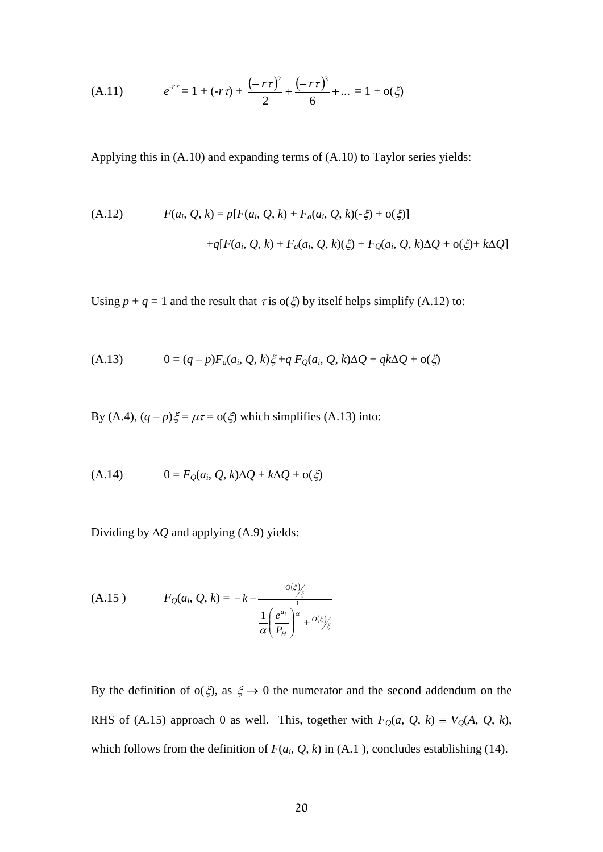(A.11) 
$$
e^{-r\tau} = 1 + (-r\tau) + \frac{(-r\tau)^2}{2} + \frac{(-r\tau)^3}{6} + ... = 1 + o(\xi)
$$

Applying this in (A.10) and expanding terms of (A.10) to Taylor series yields:

(A.12) 
$$
F(a_i, Q, k) = p[F(a_i, Q, k) + F_a(a_i, Q, k)(-\xi) + o(\xi)]
$$

$$
+ q[F(a_i, Q, k) + F_a(a_i, Q, k)(\xi) + F_Q(a_i, Q, k)\Delta Q + o(\xi) + k\Delta Q]
$$

Using  $p + q = 1$  and the result that  $\tau$  is o( $\zeta$ ) by itself helps simplify (A.12) to:

(A.13) 
$$
0 = (q - p)F_a(a_i, Q, k)\xi + q F_Q(a_i, Q, k)\Delta Q + qk\Delta Q + o(\xi)
$$

By (A.4),  $(q - p)\xi = \mu \tau = o(\xi)$  which simplifies (A.13) into:

$$
(A.14) \qquad 0 = F_Q(a_i, Q, k)\Delta Q + k\Delta Q + o(\xi)
$$

Dividing by  $\Delta Q$  and applying (A.9) yields:

(A.15) 
$$
F_Q(a_i, Q, k) = -k - \frac{o(\xi)}{\frac{1}{\alpha} \left(\frac{e^{a_i}}{P_H}\right)^{\frac{1}{\alpha}} + o(\xi)}.
$$

By the definition of  $o(\xi)$ , as  $\xi \to 0$  the numerator and the second addendum on the RHS of (A.15) approach 0 as well. This, together with  $F_Q(a, Q, k) = V_Q(A, Q, k)$ , which follows from the definition of  $F(a_i, Q, k)$  in (A.1), concludes establishing (14).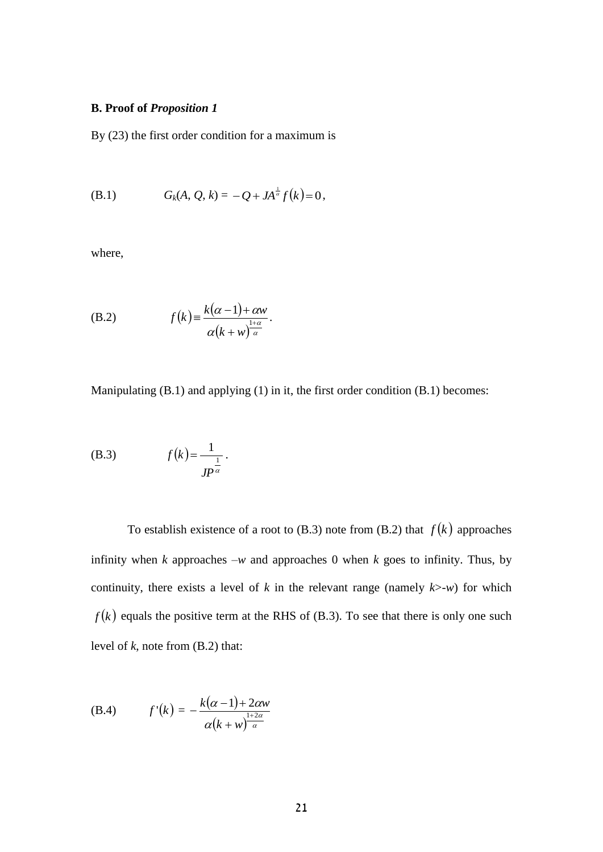#### **B. Proof of** *Proposition 1*

By (23) the first order condition for a maximum is

(B.1) 
$$
G_k(A, Q, k) = -Q + JA^{\frac{1}{\alpha}}f(k) = 0,
$$

where,

(B.2) 
$$
f(k) = \frac{k(\alpha - 1) + \alpha w}{\alpha (k + w)^{\frac{1 + \alpha}{\alpha}}}.
$$

Manipulating (B.1) and applying (1) in it, the first order condition (B.1) becomes:

(B.3) 
$$
f(k) = \frac{1}{J P^{\frac{1}{\alpha}}}
$$

To establish existence of a root to  $(B.3)$  note from  $(B.2)$  that  $f(k)$  approaches infinity when *k* approaches  $-w$  and approaches 0 when *k* goes to infinity. Thus, by continuity, there exists a level of  $k$  in the relevant range (namely  $k$ >-*w*) for which  $f(k)$  equals the positive term at the RHS of (B.3). To see that there is only one such level of *k*, note from (B.2) that:

(B.4) 
$$
f'(k) = -\frac{k(\alpha - 1) + 2\alpha w}{\alpha (k + w)^{\frac{1 + 2\alpha}{\alpha}}}
$$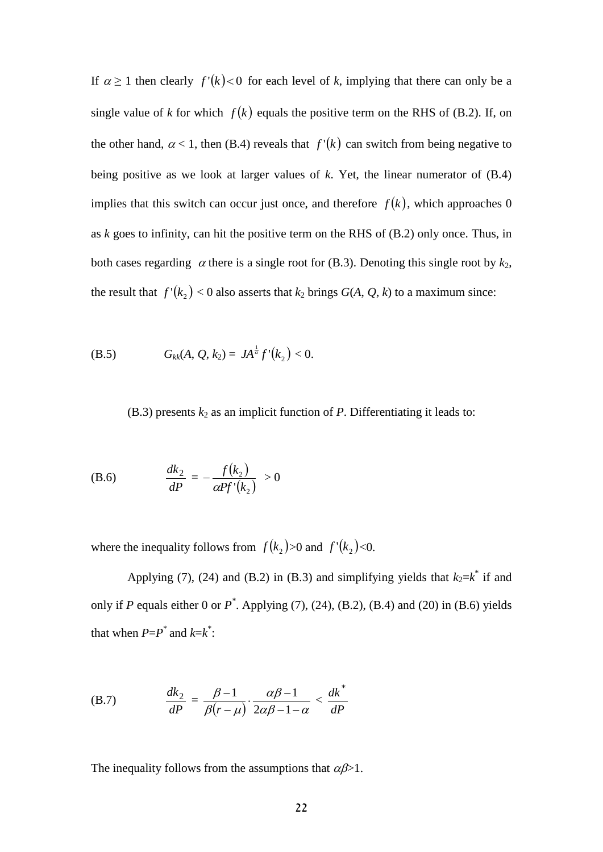If  $\alpha \geq 1$  then clearly  $f'(k) < 0$  for each level of k, implying that there can only be a single value of *k* for which  $f(k)$  equals the positive term on the RHS of (B.2). If, on the other hand,  $\alpha$  < 1, then (B.4) reveals that  $f'(k)$  can switch from being negative to being positive as we look at larger values of *k*. Yet, the linear numerator of (B.4) implies that this switch can occur just once, and therefore  $f(k)$ , which approaches 0 as *k* goes to infinity, can hit the positive term on the RHS of (B.2) only once. Thus, in both cases regarding  $\alpha$  there is a single root for (B.3). Denoting this single root by  $k_2$ , the result that  $f'(k_2) < 0$  also asserts that  $k_2$  brings  $G(A, Q, k)$  to a maximum since:

(B.5) 
$$
G_{kk}(A, Q, k_2) = JA^{\frac{1}{\alpha}}f'(k_2) < 0.
$$

(B.3) presents  $k_2$  as an implicit function of  $P$ . Differentiating it leads to:

(B.6) 
$$
\frac{dk_2}{dP} = -\frac{f(k_2)}{\alpha P f'(k_2)} > 0
$$

where the inequality follows from  $f(k_2) > 0$  and  $f'(k_2) < 0$ .

Applying (7), (24) and (B.2) in (B.3) and simplifying yields that  $k_2=k^*$  if and only if *P* equals either 0 or  $P^*$ . Applying (7), (24), (B.2), (B.4) and (20) in (B.6) yields that when  $P = P^*$  and  $k = k^*$ :

(B.7) 
$$
\frac{dk_2}{dP} = \frac{\beta - 1}{\beta(r - \mu)} \cdot \frac{\alpha \beta - 1}{2\alpha \beta - 1 - \alpha} < \frac{dk^*}{dP}
$$

The inequality follows from the assumptions that  $\alpha\beta > 1$ .